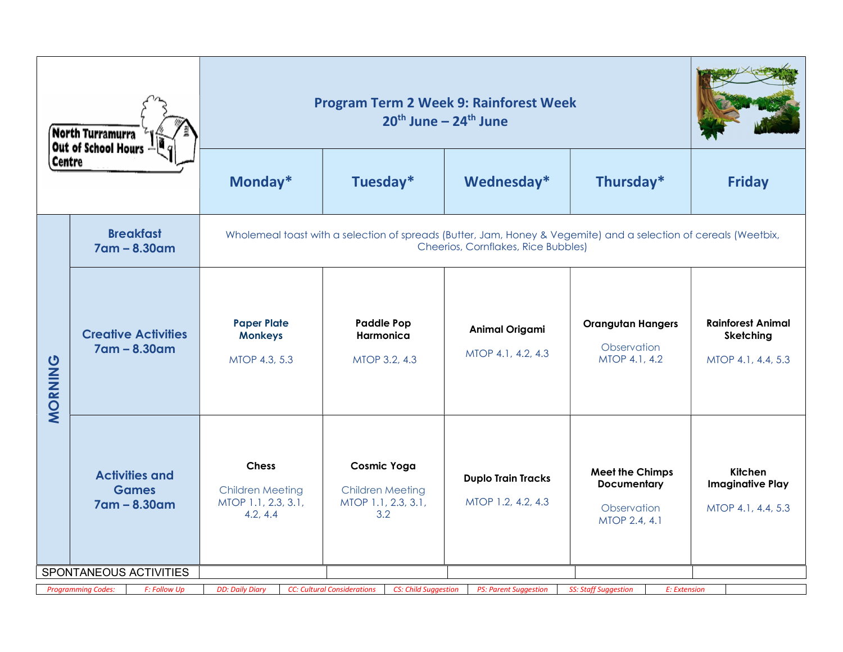| North Turramurra<br>Out of School Hours<br><b>Centre</b> |                                                       | <b>Program Term 2 Week 9: Rainforest Week</b>                                                                                                           |                                                                             |                                                 |                                                                              |                                                             |  |  |  |
|----------------------------------------------------------|-------------------------------------------------------|---------------------------------------------------------------------------------------------------------------------------------------------------------|-----------------------------------------------------------------------------|-------------------------------------------------|------------------------------------------------------------------------------|-------------------------------------------------------------|--|--|--|
|                                                          |                                                       | Monday*                                                                                                                                                 | Tuesday*                                                                    | Wednesday*                                      | Thursday*                                                                    | <b>Friday</b>                                               |  |  |  |
|                                                          | <b>Breakfast</b><br>7am - 8.30am                      | Wholemeal toast with a selection of spreads (Butter, Jam, Honey & Vegemite) and a selection of cereals (Weetbix,<br>Cheerios, Cornflakes, Rice Bubbles) |                                                                             |                                                 |                                                                              |                                                             |  |  |  |
| MORNING                                                  | <b>Creative Activities</b><br>7am - 8.30am            | <b>Paper Plate</b><br><b>Monkeys</b><br>MTOP 4.3, 5.3                                                                                                   | <b>Paddle Pop</b><br>Harmonica<br>MTOP 3.2, 4.3                             | <b>Animal Origami</b><br>MTOP 4.1, 4.2, 4.3     | <b>Orangutan Hangers</b><br>Observation<br>MTOP 4.1, 4.2                     | <b>Rainforest Animal</b><br>Sketching<br>MTOP 4.1, 4.4, 5.3 |  |  |  |
|                                                          | <b>Activities and</b><br><b>Games</b><br>7am - 8.30am | <b>Chess</b><br><b>Children Meeting</b><br>MTOP 1.1, 2.3, 3.1,<br>4.2, 4.4                                                                              | <b>Cosmic Yoga</b><br><b>Children Meeting</b><br>MTOP 1.1, 2.3, 3.1,<br>3.2 | <b>Duplo Train Tracks</b><br>MTOP 1.2, 4.2, 4.3 | <b>Meet the Chimps</b><br><b>Documentary</b><br>Observation<br>MTOP 2.4, 4.1 | Kitchen<br><b>Imaginative Play</b><br>MTOP 4.1, 4.4, 5.3    |  |  |  |
|                                                          | SPONTANEOUS ACTIVITIES                                |                                                                                                                                                         |                                                                             |                                                 |                                                                              |                                                             |  |  |  |
|                                                          | <b>Programming Codes:</b><br>F: Follow Up             | <b>DD: Daily Diary</b>                                                                                                                                  | <b>CC: Cultural Considerations</b><br><b>CS: Child Suggestion</b>           | <b>PS: Parent Suggestion</b>                    | <b>SS: Staff Suggestion</b><br>E: Extension                                  |                                                             |  |  |  |